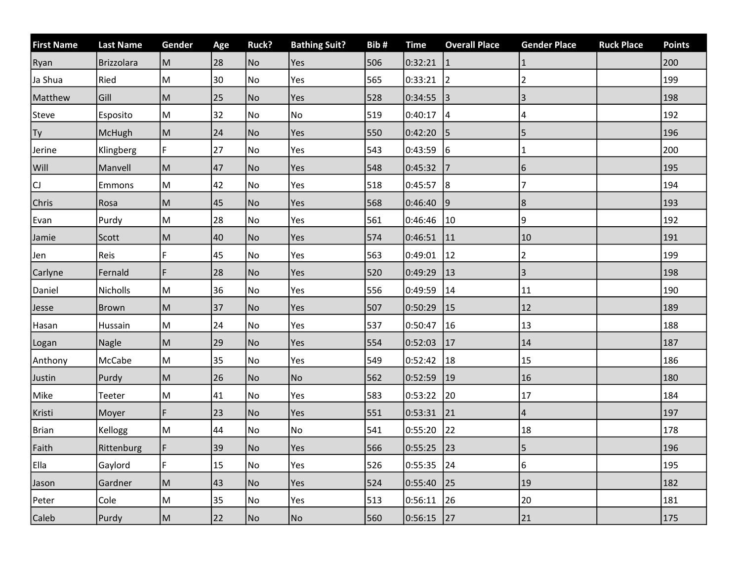| <b>First Name</b> | <b>Last Name</b>  | Gender                                                                                                     | Age | Ruck?          | <b>Bathing Suit?</b> | Bib# | <b>Time</b>  | <b>Overall Place</b> | <b>Gender Place</b>     | <b>Ruck Place</b> | <b>Points</b> |
|-------------------|-------------------|------------------------------------------------------------------------------------------------------------|-----|----------------|----------------------|------|--------------|----------------------|-------------------------|-------------------|---------------|
| Ryan              | <b>Brizzolara</b> | M                                                                                                          | 28  | <b>No</b>      | Yes                  | 506  | $0:32:21$  1 |                      | $\mathbf{1}$            |                   | 200           |
| Ja Shua           | Ried              | $\mathsf{M}% _{T}=\mathsf{M}_{T}\!\left( a,b\right) ,\ \mathsf{M}_{T}=\mathsf{M}_{T}\!\left( a,b\right) ,$ | 30  | <b>No</b>      | Yes                  | 565  | 0:33:21      | 2                    | $\overline{2}$          |                   | 199           |
| Matthew           | Gill              | M                                                                                                          | 25  | No             | Yes                  | 528  | 0:34:55      | 3                    | $\overline{3}$          |                   | 198           |
| <b>Steve</b>      | Esposito          | ${\sf M}$                                                                                                  | 32  | No             | No                   | 519  | $0:40:17$ 4  |                      | $\overline{\mathbf{4}}$ |                   | 192           |
| Ty                | McHugh            | M                                                                                                          | 24  | No]            | Yes                  | 550  | 0:42:20      | 15                   | 5                       |                   | 196           |
| Jerine            | Klingberg         | F                                                                                                          | 27  | No             | Yes                  | 543  | 0:43:59      | 6                    | $\mathbf{1}$            |                   | 200           |
| Will              | Manvell           | M                                                                                                          | 47  | <b>No</b>      | Yes                  | 548  | 0:45:32      | 17                   | $6\overline{6}$         |                   | 195           |
| CJ                | Emmons            | ${\sf M}$                                                                                                  | 42  | <b>No</b>      | Yes                  | 518  | $0:45:57$ 8  |                      | $\overline{7}$          |                   | 194           |
| Chris             | Rosa              | M                                                                                                          | 45  | N <sub>o</sub> | Yes                  | 568  | 0:46:40      | 9                    | 8                       |                   | 193           |
| Evan              | Purdy             | ${\sf M}$                                                                                                  | 28  | <b>No</b>      | Yes                  | 561  | 0:46:46      | 10                   | 9                       |                   | 192           |
| Jamie             | Scott             | $\mathsf{M}% _{T}=\mathsf{M}_{T}\!\left( a,b\right) ,\ \mathsf{M}_{T}=\mathsf{M}_{T}\!\left( a,b\right) ,$ | 40  | No             | Yes                  | 574  | 0:46:51      | 11                   | 10                      |                   | 191           |
| Jen               | Reis              | F                                                                                                          | 45  | No             | Yes                  | 563  | 0:49:01      | 12                   | $\overline{2}$          |                   | 199           |
| Carlyne           | Fernald           | F                                                                                                          | 28  | <b>No</b>      | Yes                  | 520  | 0:49:29      | 13                   | $\overline{3}$          |                   | 198           |
| Daniel            | Nicholls          | ${\sf M}$                                                                                                  | 36  | <b>No</b>      | Yes                  | 556  | 0:49:59      | 14                   | 11                      |                   | 190           |
| Jesse             | Brown             | $\mathsf{M}% _{T}=\mathsf{M}_{T}\!\left( a,b\right) ,\ \mathsf{M}_{T}=\mathsf{M}_{T}$                      | 37  | No]            | Yes                  | 507  | 0:50:29      | 15                   | 12                      |                   | 189           |
| Hasan             | Hussain           | M                                                                                                          | 24  | <b>No</b>      | Yes                  | 537  | 0:50:47      | 16                   | 13                      |                   | 188           |
| Logan             | Nagle             | $\mathsf{M}% _{T}=\mathsf{M}_{T}\!\left( a,b\right) ,\ \mathsf{M}_{T}=\mathsf{M}_{T}\!\left( a,b\right) ,$ | 29  | No             | Yes                  | 554  | 0:52:03      | 17                   | 14                      |                   | 187           |
| Anthony           | McCabe            | ${\sf M}$                                                                                                  | 35  | <b>No</b>      | Yes                  | 549  | 0:52:42      | 18                   | 15                      |                   | 186           |
| Justin            | Purdy             | $\mathsf{M}% _{T}=\mathsf{M}_{T}\!\left( a,b\right) ,\ \mathsf{M}_{T}=\mathsf{M}_{T}\!\left( a,b\right) ,$ | 26  | No             | <b>No</b>            | 562  | 0:52:59      | 19                   | 16                      |                   | 180           |
| Mike              | Teeter            | ${\sf M}$                                                                                                  | 41  | No             | Yes                  | 583  | 0:53:22      | 20                   | 17                      |                   | 184           |
| Kristi            | Moyer             | F                                                                                                          | 23  | No             | Yes                  | 551  | 0:53:31      | 21                   | $\overline{4}$          |                   | 197           |
| <b>Brian</b>      | Kellogg           | M                                                                                                          | 44  | <b>No</b>      | No                   | 541  | 0:55:20      | 22                   | 18                      |                   | 178           |
| Faith             | Rittenburg        | F                                                                                                          | 39  | <b>No</b>      | Yes                  | 566  | 0:55:25      | 23                   | 5                       |                   | 196           |
| Ella              | Gaylord           | F.                                                                                                         | 15  | <b>No</b>      | Yes                  | 526  | 0:55:35      | 24                   | 6                       |                   | 195           |
| Jason             | Gardner           | M                                                                                                          | 43  | No             | Yes                  | 524  | 0:55:40      | 25                   | 19                      |                   | 182           |
| Peter             | Cole              | M                                                                                                          | 35  | No             | Yes                  | 513  | 0:56:11      | 26                   | 20                      |                   | 181           |
| Caleb             | Purdy             | ${\sf M}$                                                                                                  | 22  | No             | <b>No</b>            | 560  | 0:56:15      | 27                   | 21                      |                   | 175           |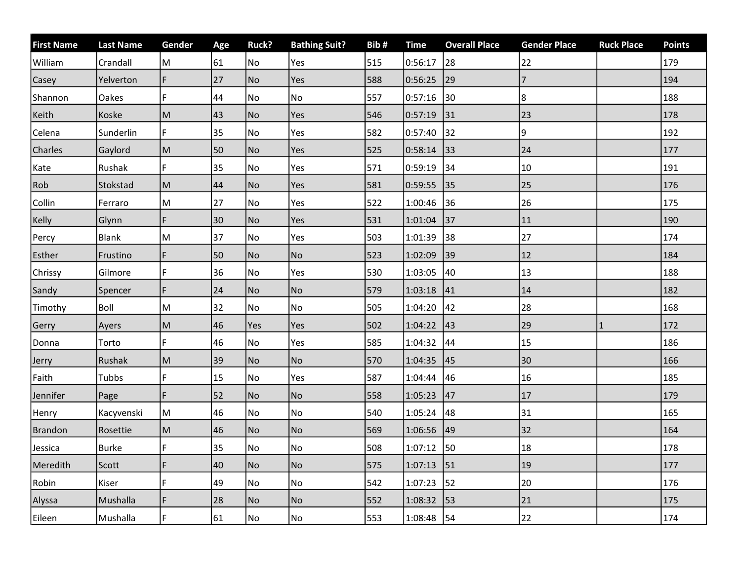| <b>First Name</b> | <b>Last Name</b> | Gender | Age | Ruck? | <b>Bathing Suit?</b> | Bib# | <b>Time</b>  | <b>Overall Place</b>              | <b>Gender Place</b> | <b>Ruck Place</b> | <b>Points</b> |
|-------------------|------------------|--------|-----|-------|----------------------|------|--------------|-----------------------------------|---------------------|-------------------|---------------|
| William           | Crandall         | M      | 61  | No    | Yes                  | 515  | 0:56:17      | 28                                | 22                  |                   | 179           |
| Casey             | Yelverton        | F.     | 27  | No    | Yes                  | 588  | 0:56:25      | 29                                | $\overline{7}$      |                   | 194           |
| Shannon           | Oakes            | F      | 44  | No    | No                   | 557  | 0:57:16      | 30                                | 8                   |                   | 188           |
| Keith             | Koske            | M      | 43  | No    | Yes                  | 546  | 0:57:19      | 31                                | 23                  |                   | 178           |
| Celena            | Sunderlin        | F      | 35  | No    | Yes                  | 582  | 0:57:40      | 32                                | 9                   |                   | 192           |
| Charles           | Gaylord          | M      | 50  | No    | Yes                  | 525  | 0:58:14      | $\begin{array}{c} 33 \end{array}$ | 24                  |                   | 177           |
| Kate              | Rushak           | F      | 35  | No    | Yes                  | 571  | 0:59:19      | 34                                | 10                  |                   | 191           |
| Rob               | Stokstad         | M      | 44  | No    | Yes                  | 581  | 0:59:55      | 35                                | 25                  |                   | 176           |
| Collin            | Ferraro          | M      | 27  | No    | Yes                  | 522  | 1:00:46      | 36                                | 26                  |                   | 175           |
| Kelly             | Glynn            | F.     | 30  | No    | Yes                  | 531  | 1:01:04      | 37                                | 11                  |                   | 190           |
| Percy             | <b>Blank</b>     | M      | 37  | No    | Yes                  | 503  | 1:01:39      | 38                                | 27                  |                   | 174           |
| Esther            | Frustino         | F.     | 50  | No    | No                   | 523  | 1:02:09      | 39                                | 12                  |                   | 184           |
| Chrissy           | Gilmore          | F      | 36  | No    | Yes                  | 530  | 1:03:05      | 40                                | 13                  |                   | 188           |
| Sandy             | Spencer          | F      | 24  | No    | <b>No</b>            | 579  | 1:03:18      | 41                                | 14                  |                   | 182           |
| Timothy           | Boll             | M      | 32  | No    | No                   | 505  | 1:04:20      | 42                                | 28                  |                   | 168           |
| Gerry             | Ayers            | M      | 46  | Yes   | Yes                  | 502  | 1:04:22      | 43                                | 29                  | $\mathbf{1}$      | 172           |
| Donna             | Torto            | F      | 46  | No    | Yes                  | 585  | 1:04:32      | 44                                | 15                  |                   | 186           |
| Jerry             | Rushak           | M      | 39  | No    | No                   | 570  | 1:04:35      | 45                                | 30                  |                   | 166           |
| Faith             | Tubbs            | F      | 15  | No    | Yes                  | 587  | 1:04:44      | 46                                | 16                  |                   | 185           |
| Jennifer          | Page             | F      | 52  | No    | <b>No</b>            | 558  | 1:05:23      | 47                                | 17                  |                   | 179           |
| Henry             | Kacyvenski       | M      | 46  | No    | <b>No</b>            | 540  | 1:05:24      | 48                                | 31                  |                   | 165           |
| Brandon           | Rosettie         | M      | 46  | No    | <b>No</b>            | 569  | 1:06:56      | 49                                | 32                  |                   | 164           |
| Jessica           | Burke            | F      | 35  | No    | No                   | 508  | 1:07:12      | 50                                | 18                  |                   | 178           |
| Meredith          | Scott            | F      | 40  | No    | No                   | 575  | 1:07:13      | $\vert$ 51                        | 19                  |                   | 177           |
| Robin             | Kiser            | F      | 49  | No    | <b>No</b>            | 542  | 1:07:23      | 52                                | 20                  |                   | 176           |
| Alyssa            | Mushalla         | F      | 28  | No    | No                   | 552  | 1:08:32      | 53                                | 21                  |                   | 175           |
| Eileen            | Mushalla         | F      | 61  | No    | No                   | 553  | $1:08:48$ 54 |                                   | 22                  |                   | 174           |